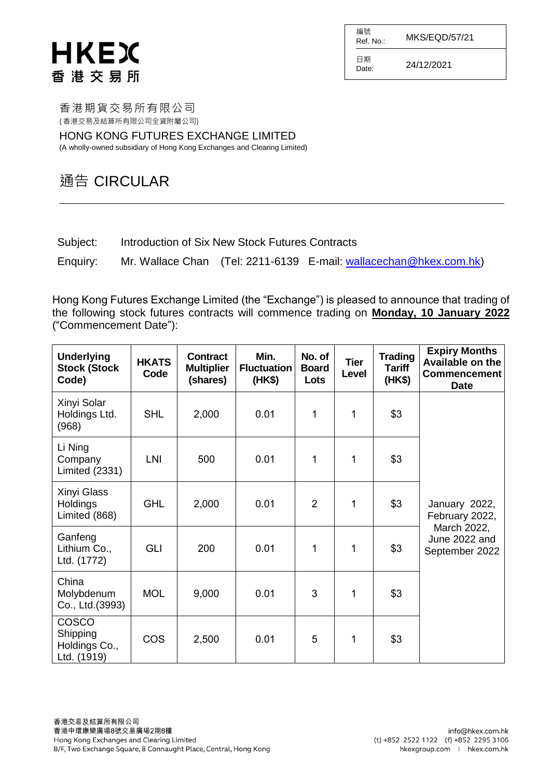# HKEX 香港交易所

編號  $R$ ef. No.: MKS/EQD/57/21 日期  $D_{\text{date}}$  24/12/2021

香港期貨交易所有限公司 ( 香港交易及結算所有限公司全資附屬公司)

HONG KONG FUTURES EXCHANGE LIMITED (A wholly-owned subsidiary of Hong Kong Exchanges and Clearing Limited)

# 通告 CIRCULAR

Subject: Introduction of Six New Stock Futures Contracts

Enquiry: Mr. Wallace Chan (Tel: 2211-6139 E-mail: [wallacechan@hkex.com.hk\)](mailto:wallacechan@hkex.com.hk)

Hong Kong Futures Exchange Limited (the "Exchange") is pleased to announce that trading of the following stock futures contracts will commence trading on **Monday, 10 January 2022** ("Commencement Date"):

| <b>Underlying</b><br><b>Stock (Stock</b><br>Code)        | <b>HKATS</b><br>Code | <b>Contract</b><br><b>Multiplier</b><br>(shares) | Min.<br><b>Fluctuation</b><br>(HK\$) | No. of<br><b>Board</b><br>Lots | <b>Tier</b><br>Level | <b>Trading</b><br><b>Tariff</b><br>(HK\$) | <b>Expiry Months</b><br>Available on the<br><b>Commencement</b><br><b>Date</b> |
|----------------------------------------------------------|----------------------|--------------------------------------------------|--------------------------------------|--------------------------------|----------------------|-------------------------------------------|--------------------------------------------------------------------------------|
| Xinyi Solar<br>Holdings Ltd.<br>(968)                    | <b>SHL</b>           | 2,000                                            | 0.01                                 | 1                              | 1                    | \$3                                       |                                                                                |
| Li Ning<br>Company<br><b>Limited (2331)</b>              | LNI                  | 500                                              | 0.01                                 | 1                              | 1                    | \$3                                       |                                                                                |
| Xinyi Glass<br><b>Holdings</b><br>Limited (868)          | <b>GHL</b>           | 2,000                                            | 0.01                                 | $\overline{2}$                 | $\mathbf{1}$         | \$3                                       | January 2022,<br>February 2022,                                                |
| Ganfeng<br>Lithium Co.,<br>Ltd. (1772)                   | <b>GLI</b>           | 200                                              | 0.01                                 | 1                              | 1                    | \$3                                       | March 2022,<br>June 2022 and<br>September 2022                                 |
| China<br>Molybdenum<br>Co., Ltd. (3993)                  | <b>MOL</b>           | 9,000                                            | 0.01                                 | 3                              | 1                    | \$3                                       |                                                                                |
| <b>COSCO</b><br>Shipping<br>Holdings Co.,<br>Ltd. (1919) | <b>COS</b>           | 2,500                                            | 0.01                                 | 5                              | 1                    | \$3                                       |                                                                                |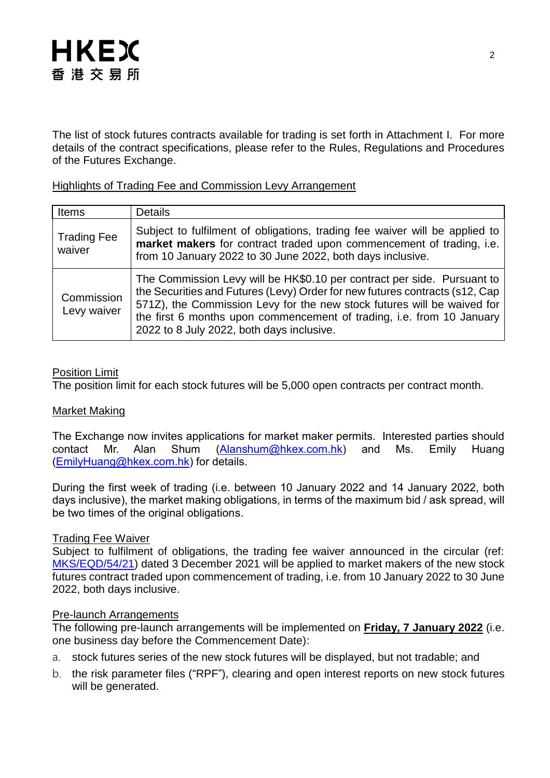

The list of stock futures contracts available for trading is set forth in Attachment I. For more details of the contract specifications, please refer to the Rules, Regulations and Procedures of the Futures Exchange.

### Highlights of Trading Fee and Commission Levy Arrangement

| Items                        | <b>Details</b>                                                                                                                                                                                                                                                                                                                                          |
|------------------------------|---------------------------------------------------------------------------------------------------------------------------------------------------------------------------------------------------------------------------------------------------------------------------------------------------------------------------------------------------------|
| <b>Trading Fee</b><br>waiver | Subject to fulfilment of obligations, trading fee waiver will be applied to<br>market makers for contract traded upon commencement of trading, i.e.<br>from 10 January 2022 to 30 June 2022, both days inclusive.                                                                                                                                       |
| Commission<br>Levy waiver    | The Commission Levy will be HK\$0.10 per contract per side. Pursuant to<br>the Securities and Futures (Levy) Order for new futures contracts (s12, Cap<br>571Z), the Commission Levy for the new stock futures will be waived for<br>the first 6 months upon commencement of trading, i.e. from 10 January<br>2022 to 8 July 2022, both days inclusive. |

### Position Limit

The position limit for each stock futures will be 5,000 open contracts per contract month.

#### Market Making

The Exchange now invites applications for market maker permits. Interested parties should contact Mr. Alan Shum [\(Alanshum@hkex.com.hk\)](mailto:Alanshum@hkex.com.hk) and Ms. Emily Huang [\(EmilyHuang@hkex.com.hk\)](mailto:EmilyHuang@HKEX.COM.HK) for details.

During the first week of trading (i.e. between 10 January 2022 and 14 January 2022, both days inclusive), the market making obligations, in terms of the maximum bid / ask spread, will be two times of the original obligations.

#### Trading Fee Waiver

Subject to fulfilment of obligations, the trading fee waiver announced in the circular (ref: [MKS/EQD/54/21\)](https://www.hkex.com.hk/-/media/HKEX-Market/Services/Circulars-and-Notices/Participant-and-Members-Circulars/HKFE/2021/MKS_EQD_54_21_e.pdf) dated 3 December 2021 will be applied to market makers of the new stock futures contract traded upon commencement of trading, i.e. from 10 January 2022 to 30 June 2022, both days inclusive.

#### Pre-launch Arrangements

The following pre-launch arrangements will be implemented on **Friday, 7 January 2022** (i.e. one business day before the Commencement Date):

- a. stock futures series of the new stock futures will be displayed, but not tradable; and
- b. the risk parameter files ("RPF"), clearing and open interest reports on new stock futures will be generated.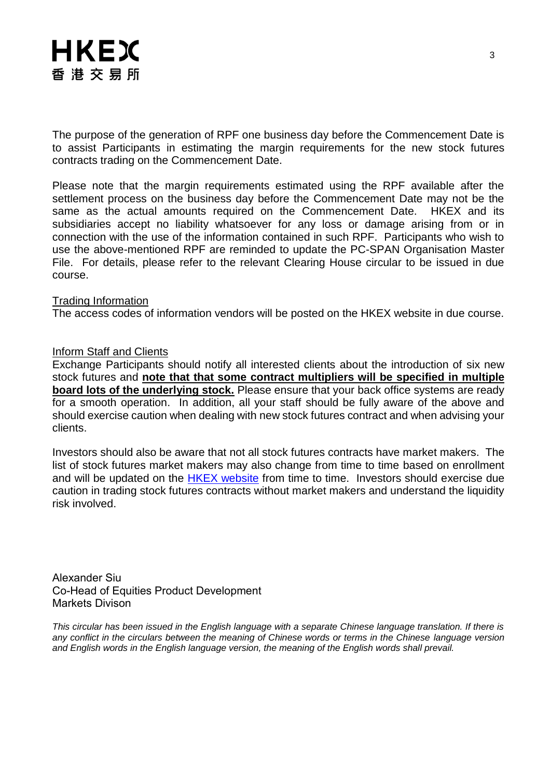

The purpose of the generation of RPF one business day before the Commencement Date is to assist Participants in estimating the margin requirements for the new stock futures contracts trading on the Commencement Date.

Please note that the margin requirements estimated using the RPF available after the settlement process on the business day before the Commencement Date may not be the same as the actual amounts required on the Commencement Date. HKEX and its subsidiaries accept no liability whatsoever for any loss or damage arising from or in connection with the use of the information contained in such RPF. Participants who wish to use the above-mentioned RPF are reminded to update the PC-SPAN Organisation Master File. For details, please refer to the relevant Clearing House circular to be issued in due course.

#### Trading Information

The access codes of information vendors will be posted on the HKEX website in due course.

#### Inform Staff and Clients

Exchange Participants should notify all interested clients about the introduction of six new stock futures and **note that that some contract multipliers will be specified in multiple board lots of the underlying stock.** Please ensure that your back office systems are ready for a smooth operation. In addition, all your staff should be fully aware of the above and should exercise caution when dealing with new stock futures contract and when advising your clients.

Investors should also be aware that not all stock futures contracts have market makers. The list of stock futures market makers may also change from time to time based on enrollment and will be updated on the **[HKEX website](http://www.hkex.com.hk/Products/Listed-Derivatives/Single-Stock/Stock-Futures?sc_lang=en)** from time to time. Investors should exercise due caution in trading stock futures contracts without market makers and understand the liquidity risk involved.

Alexander Siu Co-Head of Equities Product Development Markets Divison

*This circular has been issued in the English language with a separate Chinese language translation. If there is any conflict in the circulars between the meaning of Chinese words or terms in the Chinese language version and English words in the English language version, the meaning of the English words shall prevail.*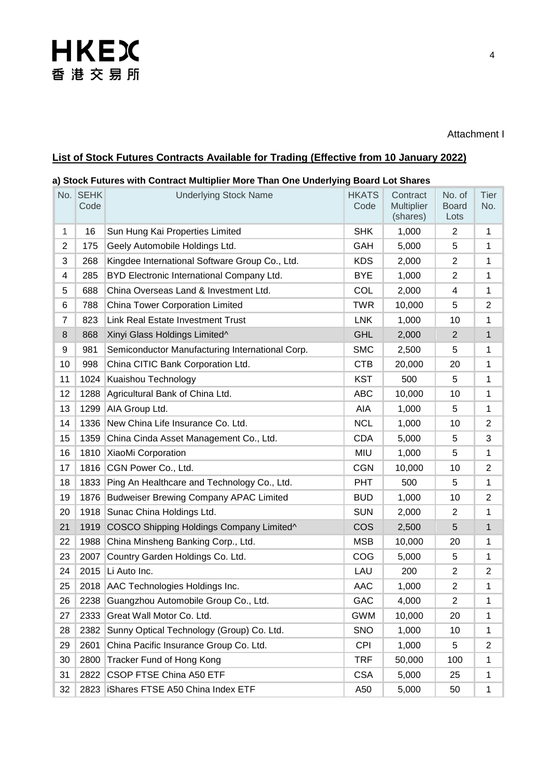# **HKEX** 香港交易所

#### Attachment I

## **List of Stock Futures Contracts Available for Trading (Effective from 10 January 2022)**

#### **a) Stock Futures with Contract Multiplier More Than One Underlying Board Lot Shares**

|                | No. SEHK<br>Code | <b>Underlying Stock Name</b>                    | <b>HKATS</b><br>Code | Contract<br>Multiplier<br>(shares) | No. of<br><b>Board</b><br>Lots | Tier<br>No.    |
|----------------|------------------|-------------------------------------------------|----------------------|------------------------------------|--------------------------------|----------------|
| $\mathbf{1}$   | 16               | Sun Hung Kai Properties Limited                 | <b>SHK</b>           | 1,000                              | $\overline{2}$                 | $\mathbf 1$    |
| $\overline{2}$ | 175              | Geely Automobile Holdings Ltd.                  | GAH                  | 5,000                              | 5                              | 1              |
| 3              | 268              | Kingdee International Software Group Co., Ltd.  | <b>KDS</b>           | 2,000                              | 2                              | 1              |
| 4              | 285              | BYD Electronic International Company Ltd.       | <b>BYE</b>           | 1,000                              | 2                              | 1              |
| 5              | 688              | China Overseas Land & Investment Ltd.           | <b>COL</b>           | 2,000                              | 4                              | 1              |
| 6              | 788              | China Tower Corporation Limited                 | <b>TWR</b>           | 10,000                             | 5                              | $\overline{2}$ |
| 7              | 823              | <b>Link Real Estate Investment Trust</b>        | <b>LNK</b>           | 1,000                              | 10                             | 1              |
| 8              | 868              | Xinyi Glass Holdings Limited^                   | <b>GHL</b>           | 2,000                              | $\overline{2}$                 | $\mathbf{1}$   |
| 9              | 981              | Semiconductor Manufacturing International Corp. | <b>SMC</b>           | 2,500                              | 5                              | 1              |
| 10             | 998              | China CITIC Bank Corporation Ltd.               | <b>CTB</b>           | 20,000                             | 20                             | 1              |
| 11             | 1024             | Kuaishou Technology                             | <b>KST</b>           | 500                                | 5                              | 1              |
| 12             | 1288             | Agricultural Bank of China Ltd.                 | <b>ABC</b>           | 10,000                             | 10                             | 1              |
| 13             | 1299             | AIA Group Ltd.                                  | AIA                  | 1,000                              | 5                              | 1              |
| 14             | 1336             | New China Life Insurance Co. Ltd.               | <b>NCL</b>           | 1,000                              | 10                             | $\overline{2}$ |
| 15             | 1359             | China Cinda Asset Management Co., Ltd.          | <b>CDA</b>           | 5,000                              | 5                              | 3              |
| 16             | 1810             | XiaoMi Corporation                              | <b>MIU</b>           | 1,000                              | 5                              | 1              |
| 17             | 1816             | CGN Power Co., Ltd.                             | <b>CGN</b>           | 10,000                             | 10                             | $\overline{2}$ |
| 18             | 1833             | Ping An Healthcare and Technology Co., Ltd.     | <b>PHT</b>           | 500                                | 5                              | 1              |
| 19             | 1876             | <b>Budweiser Brewing Company APAC Limited</b>   | <b>BUD</b>           | 1,000                              | 10                             | $\overline{2}$ |
| 20             | 1918             | Sunac China Holdings Ltd.                       | <b>SUN</b>           | 2,000                              | $\overline{2}$                 | 1              |
| 21             | 1919             | COSCO Shipping Holdings Company Limited^        | <b>COS</b>           | 2,500                              | 5                              | 1              |
| 22             | 1988             | China Minsheng Banking Corp., Ltd.              | <b>MSB</b>           | 10,000                             | 20                             | 1              |
| 23             | 2007             | Country Garden Holdings Co. Ltd.                | COG                  | 5,000                              | 5                              | 1              |
| 24             | 2015             | Li Auto Inc.                                    | LAU                  | 200                                | 2                              | $\overline{2}$ |
| 25             |                  | 2018 AAC Technologies Holdings Inc.             | <b>AAC</b>           | 1,000                              | 2                              | 1              |
| 26             |                  | 2238 Guangzhou Automobile Group Co., Ltd.       | GAC                  | 4,000                              | $\overline{c}$                 | 1              |
| 27             | 2333             | Great Wall Motor Co. Ltd.                       | <b>GWM</b>           | 10,000                             | 20                             | 1              |
| 28             | 2382             | Sunny Optical Technology (Group) Co. Ltd.       | <b>SNO</b>           | 1,000                              | 10                             | 1              |
| 29             | 2601             | China Pacific Insurance Group Co. Ltd.          | <b>CPI</b>           | 1,000                              | 5                              | $\overline{2}$ |
| 30             | 2800             | Tracker Fund of Hong Kong                       | <b>TRF</b>           | 50,000                             | 100                            | 1              |
| 31             | 2822             | <b>CSOP FTSE China A50 ETF</b>                  | <b>CSA</b>           | 5,000                              | 25                             | 1              |
| 32             | 2823             | <b>iShares FTSE A50 China Index ETF</b>         | A50                  | 5,000                              | 50                             | 1              |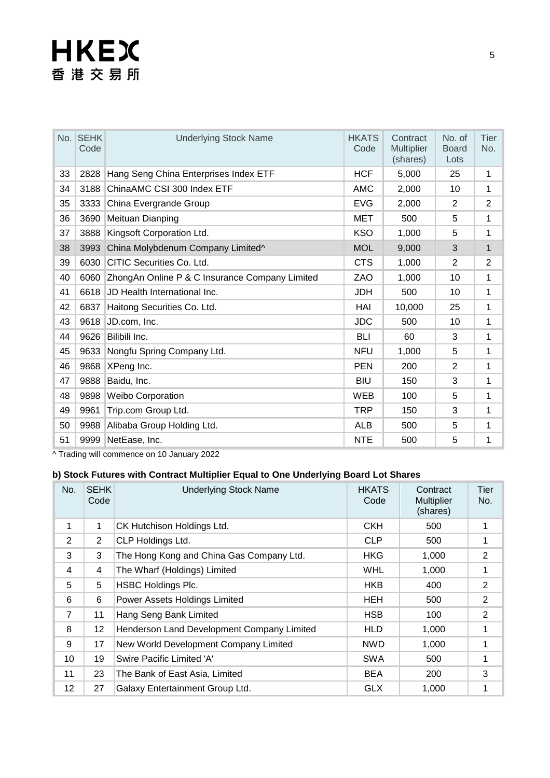# **HKEX** 香港交易所

|    | No. SEHK<br>Code | <b>Underlying Stock Name</b>                   | <b>HKATS</b><br>Code | Contract<br><b>Multiplier</b><br>(shares) | No. of<br><b>Board</b><br>Lots | Tier<br>No.    |
|----|------------------|------------------------------------------------|----------------------|-------------------------------------------|--------------------------------|----------------|
| 33 | 2828             | Hang Seng China Enterprises Index ETF          | <b>HCF</b>           | 5,000                                     | 25                             | 1              |
| 34 | 3188             | ChinaAMC CSI 300 Index ETF                     | <b>AMC</b>           | 2,000                                     | 10                             | 1              |
| 35 | 3333             | China Evergrande Group                         | <b>EVG</b>           | 2,000                                     | 2                              | $\overline{2}$ |
| 36 | 3690             | Meituan Dianping                               | <b>MET</b>           | 500                                       | 5                              | 1              |
| 37 | 3888             | Kingsoft Corporation Ltd.                      | <b>KSO</b>           | 1,000                                     | 5                              | 1              |
| 38 | 3993             | China Molybdenum Company Limited^              | <b>MOL</b>           | 9,000                                     | 3                              | 1              |
| 39 | 6030             | CITIC Securities Co. Ltd.                      | <b>CTS</b>           | 1,000                                     | $\overline{2}$                 | $\overline{2}$ |
| 40 | 6060             | ZhongAn Online P & C Insurance Company Limited | ZAO                  | 1,000                                     | 10                             | 1              |
| 41 | 6618             | JD Health International Inc.                   | <b>JDH</b>           | 500                                       | 10                             | 1              |
| 42 | 6837             | Haitong Securities Co. Ltd.                    | HAI                  | 10,000                                    | 25                             | 1              |
| 43 | 9618             | JD.com, Inc.                                   | <b>JDC</b>           | 500                                       | 10                             | 1              |
| 44 | 9626             | Bilibili Inc.                                  | <b>BLI</b>           | 60                                        | 3                              | 1              |
| 45 | 9633             | Nongfu Spring Company Ltd.                     | <b>NFU</b>           | 1,000                                     | 5                              | 1              |
| 46 | 9868             | XPeng Inc.                                     | <b>PEN</b>           | 200                                       | $\overline{2}$                 | 1              |
| 47 | 9888             | Baidu, Inc.                                    | <b>BIU</b>           | 150                                       | 3                              | 1              |
| 48 | 9898             | <b>Weibo Corporation</b>                       | <b>WEB</b>           | 100                                       | 5                              | 1              |
| 49 | 9961             | Trip.com Group Ltd.                            | <b>TRP</b>           | 150                                       | 3                              | 1              |
| 50 | 9988             | Alibaba Group Holding Ltd.                     | <b>ALB</b>           | 500                                       | 5                              | 1              |
| 51 | 9999             | NetEase, Inc.                                  | <b>NTE</b>           | 500                                       | 5                              | 1              |

^ Trading will commence on 10 January 2022

### **b) Stock Futures with Contract Multiplier Equal to One Underlying Board Lot Shares**

| No.            | <b>SEHK</b><br>Code | <b>Underlying Stock Name</b>               | <b>HKATS</b><br>Code | Contract<br><b>Multiplier</b><br>(shares) | Tier<br>No.    |
|----------------|---------------------|--------------------------------------------|----------------------|-------------------------------------------|----------------|
| 1              | $\mathbf{1}$        | CK Hutchison Holdings Ltd.                 | <b>CKH</b>           | 500                                       |                |
| 2              | $\overline{2}$      | CLP Holdings Ltd.                          | <b>CLP</b>           | 500                                       | 1              |
| 3              | 3                   | The Hong Kong and China Gas Company Ltd.   | <b>HKG</b>           | 1,000                                     | $\overline{2}$ |
| 4              | 4                   | The Wharf (Holdings) Limited               | <b>WHL</b>           | 1,000                                     | 1              |
| 5              | 5                   | <b>HSBC Holdings Plc.</b>                  | <b>HKB</b>           | 400                                       | $\overline{2}$ |
| 6              | 6                   | Power Assets Holdings Limited              | HEH                  | 500                                       | $\overline{2}$ |
| $\overline{7}$ | 11                  | Hang Seng Bank Limited                     | <b>HSB</b>           | 100                                       | $\overline{2}$ |
| 8              | 12                  | Henderson Land Development Company Limited | <b>HLD</b>           | 1,000                                     | 1              |
| 9              | 17                  | New World Development Company Limited      | <b>NWD</b>           | 1,000                                     | 1              |
| 10             | 19                  | Swire Pacific Limited 'A'                  | <b>SWA</b>           | 500                                       | 1              |
| 11             | 23                  | The Bank of East Asia, Limited             | <b>BEA</b>           | 200                                       | 3              |
| 12             | 27                  | Galaxy Entertainment Group Ltd.            | <b>GLX</b>           | 1,000                                     | 1              |